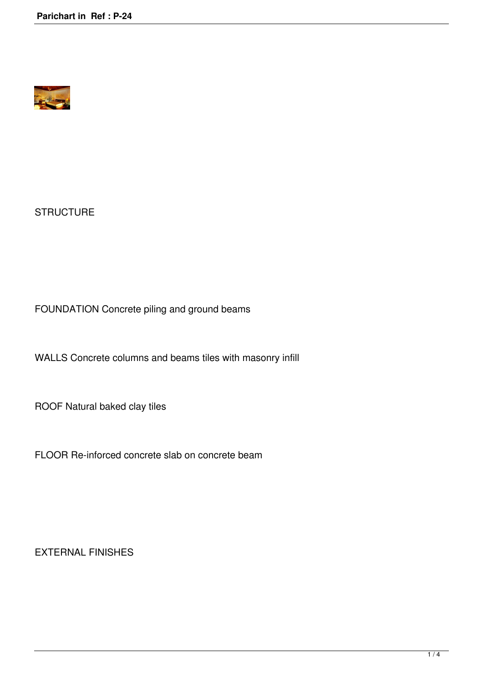

**STRUCTURE** 

FOUNDATION Concrete piling and ground beams

WALLS Concrete columns and beams tiles with masonry infill

ROOF Natural baked clay tiles

FLOOR Re-inforced concrete slab on concrete beam

EXTERNAL FINISHES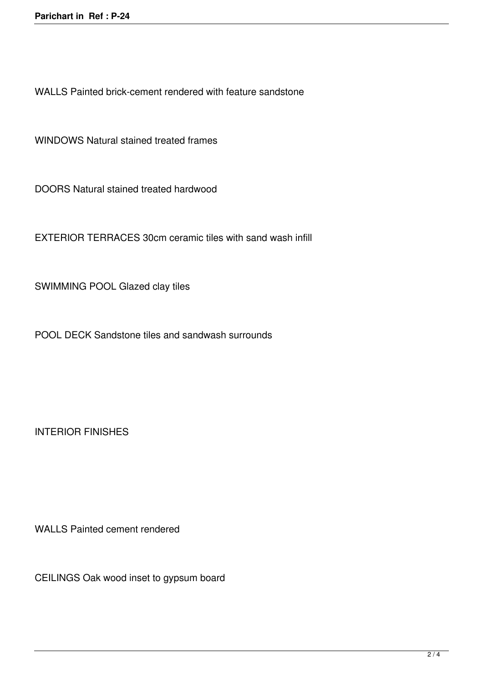WALLS Painted brick-cement rendered with feature sandstone

WINDOWS Natural stained treated frames

DOORS Natural stained treated hardwood

EXTERIOR TERRACES 30cm ceramic tiles with sand wash infill

SWIMMING POOL Glazed clay tiles

POOL DECK Sandstone tiles and sandwash surrounds

INTERIOR FINISHES

WALLS Painted cement rendered

CEILINGS Oak wood inset to gypsum board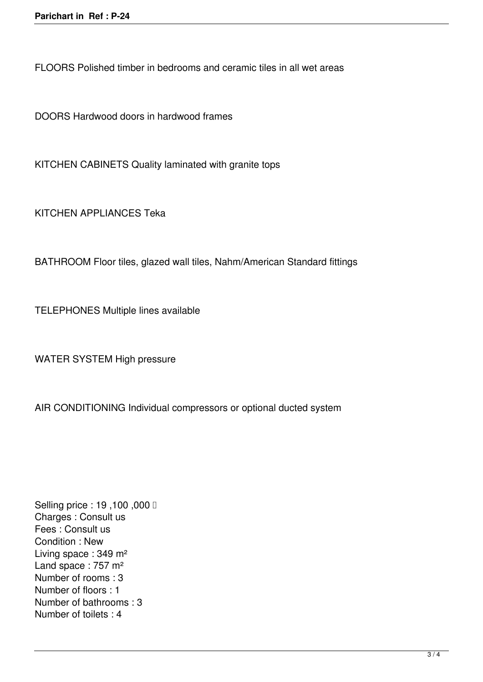FLOORS Polished timber in bedrooms and ceramic tiles in all wet areas

DOORS Hardwood doors in hardwood frames

KITCHEN CABINETS Quality laminated with granite tops

KITCHEN APPLIANCES Teka

BATHROOM Floor tiles, glazed wall tiles, Nahm/American Standard fittings

TELEPHONES Multiple lines available

WATER SYSTEM High pressure

AIR CONDITIONING Individual compressors or optional ducted system

Selling price : 19,100,000 **□** Charges : Consult us Fees : Consult us Condition : New Living space : 349 m² Land space : 757 m<sup>2</sup> Number of rooms : 3 Number of floors : 1 Number of bathrooms : 3 Number of toilets : 4